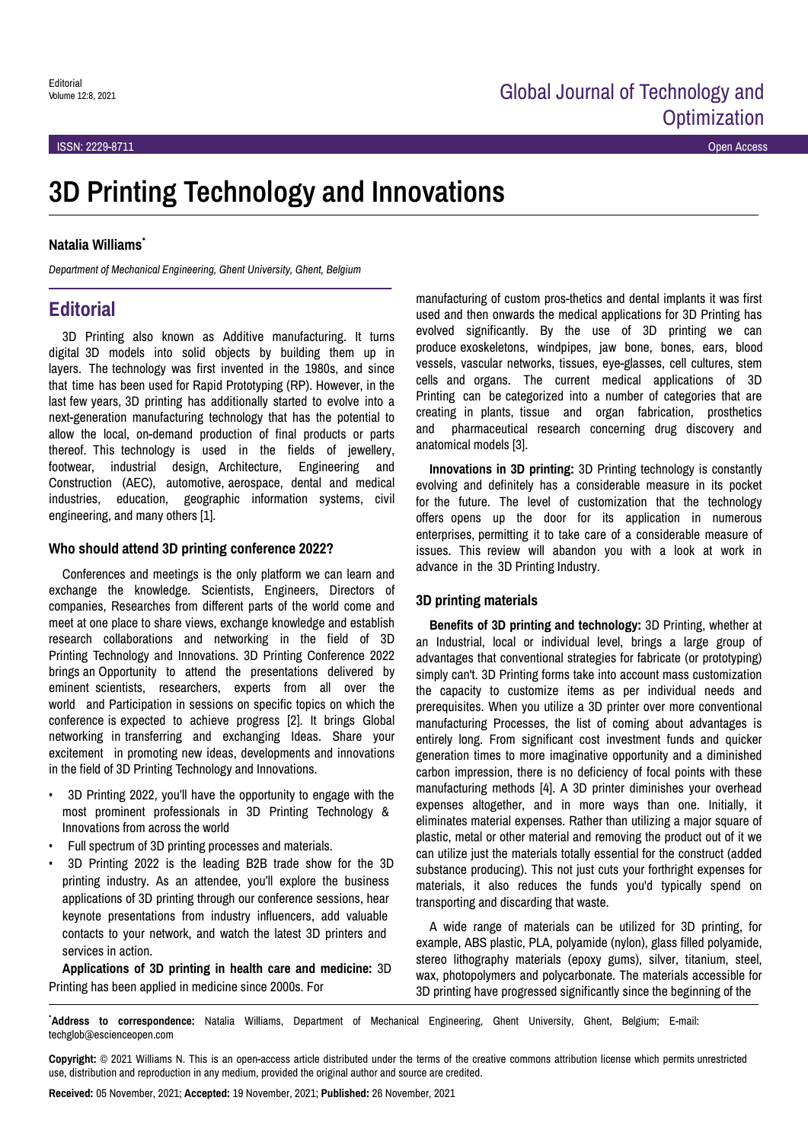# **3D Printing Technology and Innovations**

#### **Natalia Williams**\*

*Department of Mechanical Engineering, Ghent University, Ghent, Belgium*

## **Editorial**

3D Printing also known as Additive manufacturing. It turns digital 3D models into solid objects by building them up in layers. The technology was first invented in the 1980s, and since that time has been used for Rapid Prototyping (RP). However, in the last few years, 3D printing has additionally started to evolve into a next-generation manufacturing technology that has the potential to allow the local, on-demand production of final products or parts thereof. This technology is used in the fields of jewellery, footwear, industrial design, Architecture, Engineering and Construction (AEC), automotive, aerospace, dental and medical industries, education, geographic information systems, civil engineering, and many others [1].

#### **Who should attend 3D printing conference 2022?**

Conferences and meetings is the only platform we can learn and exchange the knowledge. Scientists, Engineers, Directors of companies, Researches from different parts of the world come and meet at one place to share views, exchange knowledge and establish research collaborations and networking in the field of 3D Printing Technology and Innovations. 3D Printing Conference 2022 brings an Opportunity to attend the presentations delivered by eminent scientists, researchers, experts from all over the world and Participation in sessions on specific topics on which the conference is expected to achieve progress [2]. It brings Global networking in transferring and exchanging Ideas. Share your excitement in promoting new ideas, developments and innovations in the field of 3D Printing Technology and Innovations.

- 3D Printing 2022, you'll have the opportunity to engage with the most prominent professionals in 3D Printing Technology & Innovations from across the world
- Full spectrum of 3D printing processes and materials.
- 3D Printing 2022 is the leading B2B trade show for the 3D printing industry. As an attendee, you'll explore the business applications of 3D printing through our conference sessions, hear keynote presentations from industry influencers, add valuable contacts to your network, and watch the latest 3D printers and services in action.

**Applications of 3D printing in health care and medicine:** 3D Printing has been applied in medicine since 2000s. For

manufacturing of custom pros-thetics and dental implants it was first used and then onwards the medical applications for 3D Printing has evolved significantly. By the use of 3D printing we can produce exoskeletons, windpipes, jaw bone, bones, ears, blood vessels, vascular networks, tissues, eye-glasses, cell cultures, stem cells and organs. The current medical applications of 3D Printing can be categorized into a number of categories that are creating in plants, tissue and organ fabrication, prosthetics and pharmaceutical research concerning drug discovery and anatomical models [3].

**Innovations in 3D printing:** 3D Printing technology is constantly evolving and definitely has a considerable measure in its pocket for the future. The level of customization that the technology offers opens up the door for its application in numerous enterprises, permitting it to take care of a considerable measure of issues. This review will abandon you with a look at work in advance in the 3D Printing Industry.

#### **3D printing materials**

**Benefits of 3D printing and technology:** 3D Printing, whether at an Industrial, local or individual level, brings a large group of advantages that conventional strategies for fabricate (or prototyping) simply can't. 3D Printing forms take into account mass customization the capacity to customize items as per individual needs and prerequisites. When you utilize a 3D printer over more conventional manufacturing Processes, the list of coming about advantages is entirely long. From significant cost investment funds and quicker generation times to more imaginative opportunity and a diminished carbon impression, there is no deficiency of focal points with these manufacturing methods [4]. A 3D printer diminishes your overhead expenses altogether, and in more ways than one. Initially, it eliminates material expenses. Rather than utilizing a major square of plastic, metal or other material and removing the product out of it we can utilize just the materials totally essential for the construct (added substance producing). This not just cuts your forthright expenses for materials, it also reduces the funds you'd typically spend on transporting and discarding that waste.

A wide range of materials can be utilized for 3D printing, for example, ABS plastic, PLA, polyamide (nylon), glass filled polyamide, stereo lithography materials (epoxy gums), silver, titanium, steel, wax, photopolymers and polycarbonate. The materials accessible for 3D printing have progressed significantly since the beginning of the

\***Address to correspondence:** Natalia Williams, Department of Mechanical Engineering, Ghent University, Ghent, Belgium; E-mail: techglob@escienceopen.com

**Copyright:** © 2021 Williams N. This is an open-access article distributed under the terms of the creative commons attribution license which permits unrestricted use, distribution and reproduction in any medium, provided the original author and source are credited.

**Received:** 05 November, 2021; **Accepted:** 19 November, 2021; **Published:** 26 November, 2021